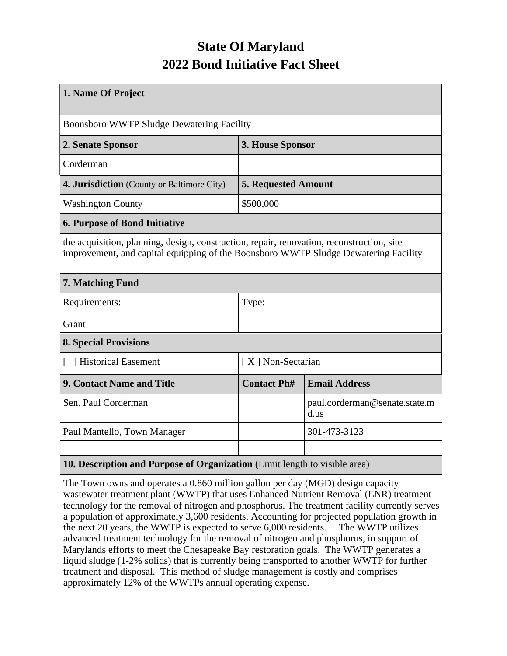## **State Of Maryland 2022 Bond Initiative Fact Sheet**

| 1. Name Of Project                                                                                                                                                               |                            |                                       |  |  |  |  |
|----------------------------------------------------------------------------------------------------------------------------------------------------------------------------------|----------------------------|---------------------------------------|--|--|--|--|
| Boonsboro WWTP Sludge Dewatering Facility                                                                                                                                        |                            |                                       |  |  |  |  |
| 2. Senate Sponsor                                                                                                                                                                | 3. House Sponsor           |                                       |  |  |  |  |
| Corderman                                                                                                                                                                        |                            |                                       |  |  |  |  |
| 4. Jurisdiction (County or Baltimore City)                                                                                                                                       | <b>5. Requested Amount</b> |                                       |  |  |  |  |
| <b>Washington County</b>                                                                                                                                                         | \$500,000                  |                                       |  |  |  |  |
| <b>6. Purpose of Bond Initiative</b>                                                                                                                                             |                            |                                       |  |  |  |  |
| the acquisition, planning, design, construction, repair, renovation, reconstruction, site<br>improvement, and capital equipping of the Boonsboro WWTP Sludge Dewatering Facility |                            |                                       |  |  |  |  |
| 7. Matching Fund                                                                                                                                                                 |                            |                                       |  |  |  |  |
| Requirements:                                                                                                                                                                    | Type:                      |                                       |  |  |  |  |
| Grant                                                                                                                                                                            |                            |                                       |  |  |  |  |
| <b>8. Special Provisions</b>                                                                                                                                                     |                            |                                       |  |  |  |  |
| Historical Easement                                                                                                                                                              | [X] Non-Sectarian          |                                       |  |  |  |  |
| 9. Contact Name and Title                                                                                                                                                        | <b>Contact Ph#</b>         | <b>Email Address</b>                  |  |  |  |  |
| Sen. Paul Corderman                                                                                                                                                              |                            | paul.corderman@senate.state.m<br>d.us |  |  |  |  |
| Paul Mantello, Town Manager                                                                                                                                                      |                            | 301-473-3123                          |  |  |  |  |
|                                                                                                                                                                                  |                            |                                       |  |  |  |  |
| 10. Description and Purpose of Organization (Limit length to visible area)                                                                                                       |                            |                                       |  |  |  |  |

The Town owns and operates a 0.860 million gallon per day (MGD) design capacity wastewater treatment plant (WWTP) that uses Enhanced Nutrient Removal (ENR) treatment technology for the removal of nitrogen and phosphorus. The treatment facility currently serves a population of approximately 3,600 residents. Accounting for projected population growth in the next 20 years, the WWTP is expected to serve 6,000 residents. The WWTP utilizes advanced treatment technology for the removal of nitrogen and phosphorus, in support of Marylands efforts to meet the Chesapeake Bay restoration goals. The WWTP generates a liquid sludge (1-2% solids) that is currently being transported to another WWTP for further treatment and disposal. This method of sludge management is costly and comprises approximately 12% of the WWTPs annual operating expense.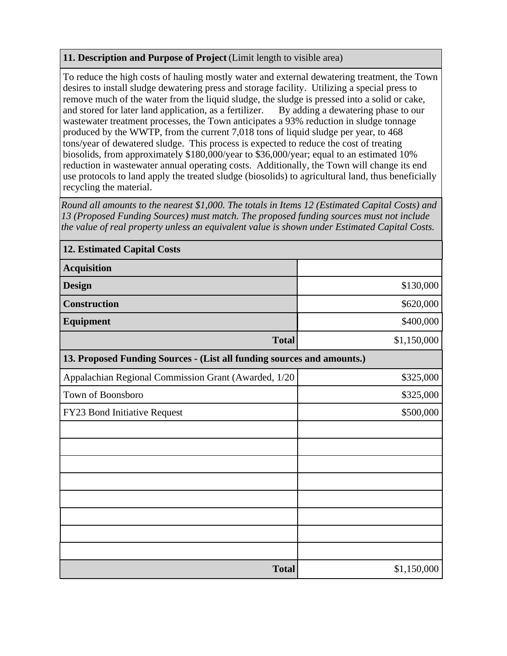## **11. Description and Purpose of Project** (Limit length to visible area)

To reduce the high costs of hauling mostly water and external dewatering treatment, the Town desires to install sludge dewatering press and storage facility. Utilizing a special press to remove much of the water from the liquid sludge, the sludge is pressed into a solid or cake, and stored for later land application, as a fertilizer. By adding a dewatering phase to our wastewater treatment processes, the Town anticipates a 93% reduction in sludge tonnage produced by the WWTP, from the current 7,018 tons of liquid sludge per year, to 468 tons/year of dewatered sludge. This process is expected to reduce the cost of treating biosolids, from approximately \$180,000/year to \$36,000/year; equal to an estimated 10% reduction in wastewater annual operating costs. Additionally, the Town will change its end use protocols to land apply the treated sludge (biosolids) to agricultural land, thus beneficially recycling the material.

*Round all amounts to the nearest \$1,000. The totals in Items 12 (Estimated Capital Costs) and 13 (Proposed Funding Sources) must match. The proposed funding sources must not include the value of real property unless an equivalent value is shown under Estimated Capital Costs.*

| <b>12. Estimated Capital Costs</b>                                     |             |  |  |  |  |  |  |
|------------------------------------------------------------------------|-------------|--|--|--|--|--|--|
| <b>Acquisition</b>                                                     |             |  |  |  |  |  |  |
| <b>Design</b>                                                          | \$130,000   |  |  |  |  |  |  |
| <b>Construction</b>                                                    | \$620,000   |  |  |  |  |  |  |
| <b>Equipment</b>                                                       | \$400,000   |  |  |  |  |  |  |
| <b>Total</b>                                                           | \$1,150,000 |  |  |  |  |  |  |
| 13. Proposed Funding Sources - (List all funding sources and amounts.) |             |  |  |  |  |  |  |
| Appalachian Regional Commission Grant (Awarded, 1/20                   | \$325,000   |  |  |  |  |  |  |
| Town of Boonsboro                                                      | \$325,000   |  |  |  |  |  |  |
| FY23 Bond Initiative Request                                           | \$500,000   |  |  |  |  |  |  |
|                                                                        |             |  |  |  |  |  |  |
|                                                                        |             |  |  |  |  |  |  |
|                                                                        |             |  |  |  |  |  |  |
|                                                                        |             |  |  |  |  |  |  |
|                                                                        |             |  |  |  |  |  |  |
|                                                                        |             |  |  |  |  |  |  |
|                                                                        |             |  |  |  |  |  |  |
|                                                                        |             |  |  |  |  |  |  |
| <b>Total</b>                                                           | \$1,150,000 |  |  |  |  |  |  |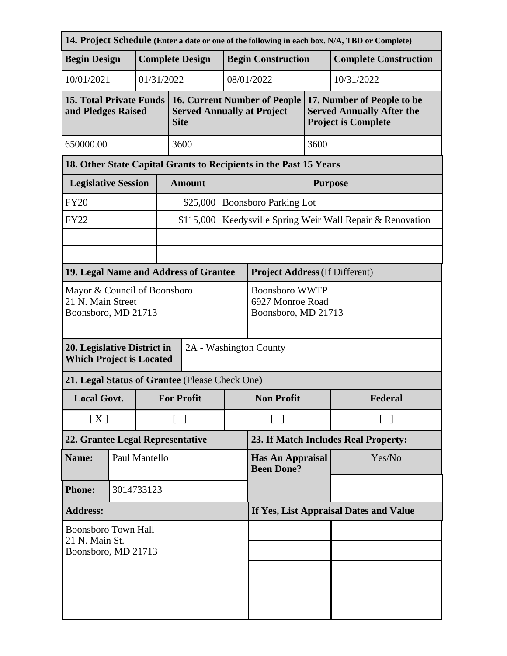| 14. Project Schedule (Enter a date or one of the following in each box. N/A, TBD or Complete) |               |                        |                    |                                                                                         |                                                  |                                                                  |                                       |                                                                                              |  |  |
|-----------------------------------------------------------------------------------------------|---------------|------------------------|--------------------|-----------------------------------------------------------------------------------------|--------------------------------------------------|------------------------------------------------------------------|---------------------------------------|----------------------------------------------------------------------------------------------|--|--|
| <b>Begin Design</b>                                                                           |               | <b>Complete Design</b> |                    |                                                                                         |                                                  | <b>Begin Construction</b>                                        |                                       | <b>Complete Construction</b>                                                                 |  |  |
| 10/01/2021                                                                                    |               |                        | 01/31/2022         |                                                                                         |                                                  | 08/01/2022                                                       | 10/31/2022                            |                                                                                              |  |  |
| <b>15. Total Private Funds</b><br>and Pledges Raised                                          |               |                        |                    | <b>16. Current Number of People</b><br><b>Served Annually at Project</b><br><b>Site</b> |                                                  |                                                                  |                                       | 17. Number of People to be<br><b>Served Annually After the</b><br><b>Project is Complete</b> |  |  |
| 650000.00                                                                                     |               |                        | 3600               |                                                                                         | 3600                                             |                                                                  |                                       |                                                                                              |  |  |
| 18. Other State Capital Grants to Recipients in the Past 15 Years                             |               |                        |                    |                                                                                         |                                                  |                                                                  |                                       |                                                                                              |  |  |
| <b>Legislative Session</b>                                                                    |               |                        | <b>Amount</b>      |                                                                                         | <b>Purpose</b>                                   |                                                                  |                                       |                                                                                              |  |  |
| <b>FY20</b>                                                                                   |               |                        |                    | \$25,000                                                                                |                                                  | <b>Boonsboro Parking Lot</b>                                     |                                       |                                                                                              |  |  |
| <b>FY22</b>                                                                                   |               |                        |                    | \$115,000                                                                               | Keedysville Spring Weir Wall Repair & Renovation |                                                                  |                                       |                                                                                              |  |  |
|                                                                                               |               |                        |                    |                                                                                         |                                                  |                                                                  |                                       |                                                                                              |  |  |
|                                                                                               |               |                        |                    |                                                                                         |                                                  |                                                                  |                                       |                                                                                              |  |  |
| 19. Legal Name and Address of Grantee                                                         |               |                        |                    |                                                                                         |                                                  |                                                                  | <b>Project Address (If Different)</b> |                                                                                              |  |  |
| Mayor & Council of Boonsboro<br>21 N. Main Street<br>Boonsboro, MD 21713                      |               |                        |                    |                                                                                         |                                                  | <b>Boonsboro WWTP</b><br>6927 Monroe Road<br>Boonsboro, MD 21713 |                                       |                                                                                              |  |  |
| 20. Legislative District in<br>2A - Washington County<br><b>Which Project is Located</b>      |               |                        |                    |                                                                                         |                                                  |                                                                  |                                       |                                                                                              |  |  |
| 21. Legal Status of Grantee (Please Check One)                                                |               |                        |                    |                                                                                         |                                                  |                                                                  |                                       |                                                                                              |  |  |
| <b>Local Govt.</b>                                                                            |               |                        | <b>For Profit</b>  |                                                                                         | <b>Non Profit</b>                                |                                                                  | Federal                               |                                                                                              |  |  |
| [X]                                                                                           |               |                        | $\lceil \; \rceil$ |                                                                                         | $\lceil \; \rceil$<br>$\lceil \; \rceil$         |                                                                  |                                       |                                                                                              |  |  |
| 22. Grantee Legal Representative                                                              |               |                        |                    |                                                                                         |                                                  | 23. If Match Includes Real Property:                             |                                       |                                                                                              |  |  |
| Name:                                                                                         | Paul Mantello |                        |                    | <b>Has An Appraisal</b><br><b>Been Done?</b>                                            |                                                  | Yes/No                                                           |                                       |                                                                                              |  |  |
| <b>Phone:</b>                                                                                 | 3014733123    |                        |                    |                                                                                         |                                                  |                                                                  |                                       |                                                                                              |  |  |
| <b>Address:</b>                                                                               |               |                        |                    |                                                                                         | If Yes, List Appraisal Dates and Value           |                                                                  |                                       |                                                                                              |  |  |
| <b>Boonsboro Town Hall</b>                                                                    |               |                        |                    |                                                                                         |                                                  |                                                                  |                                       |                                                                                              |  |  |
| 21 N. Main St.<br>Boonsboro, MD 21713                                                         |               |                        |                    |                                                                                         |                                                  |                                                                  |                                       |                                                                                              |  |  |
|                                                                                               |               |                        |                    |                                                                                         |                                                  |                                                                  |                                       |                                                                                              |  |  |
|                                                                                               |               |                        |                    |                                                                                         |                                                  |                                                                  |                                       |                                                                                              |  |  |
|                                                                                               |               |                        |                    |                                                                                         |                                                  |                                                                  |                                       |                                                                                              |  |  |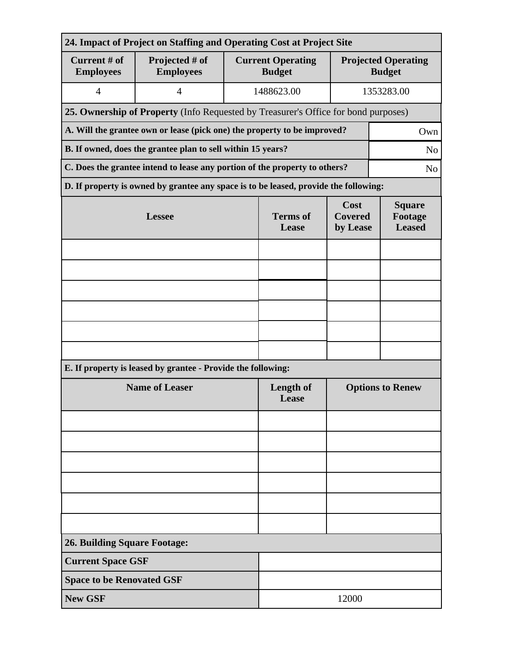| 24. Impact of Project on Staffing and Operating Cost at Project Site                         |                                                                                      |                          |                                           |                                           |                                             |  |  |  |  |
|----------------------------------------------------------------------------------------------|--------------------------------------------------------------------------------------|--------------------------|-------------------------------------------|-------------------------------------------|---------------------------------------------|--|--|--|--|
| Current # of<br><b>Employees</b>                                                             | Projected # of<br><b>Employees</b>                                                   |                          | <b>Current Operating</b><br><b>Budget</b> |                                           | <b>Projected Operating</b><br><b>Budget</b> |  |  |  |  |
| $\overline{4}$                                                                               | $\overline{4}$                                                                       |                          | 1488623.00                                |                                           | 1353283.00                                  |  |  |  |  |
|                                                                                              | 25. Ownership of Property (Info Requested by Treasurer's Office for bond purposes)   |                          |                                           |                                           |                                             |  |  |  |  |
| A. Will the grantee own or lease (pick one) the property to be improved?<br>Own              |                                                                                      |                          |                                           |                                           |                                             |  |  |  |  |
| B. If owned, does the grantee plan to sell within 15 years?<br>N <sub>o</sub>                |                                                                                      |                          |                                           |                                           |                                             |  |  |  |  |
| C. Does the grantee intend to lease any portion of the property to others?<br>N <sub>o</sub> |                                                                                      |                          |                                           |                                           |                                             |  |  |  |  |
|                                                                                              | D. If property is owned by grantee any space is to be leased, provide the following: |                          |                                           |                                           |                                             |  |  |  |  |
|                                                                                              | <b>Lessee</b>                                                                        | <b>Terms</b> of<br>Lease | Cost<br><b>Covered</b><br>by Lease        | <b>Square</b><br>Footage<br><b>Leased</b> |                                             |  |  |  |  |
|                                                                                              |                                                                                      |                          |                                           |                                           |                                             |  |  |  |  |
|                                                                                              |                                                                                      |                          |                                           |                                           |                                             |  |  |  |  |
|                                                                                              |                                                                                      |                          |                                           |                                           |                                             |  |  |  |  |
|                                                                                              |                                                                                      |                          |                                           |                                           |                                             |  |  |  |  |
|                                                                                              |                                                                                      |                          |                                           |                                           |                                             |  |  |  |  |
|                                                                                              |                                                                                      |                          |                                           |                                           |                                             |  |  |  |  |
|                                                                                              | E. If property is leased by grantee - Provide the following:                         |                          |                                           |                                           |                                             |  |  |  |  |
|                                                                                              | <b>Name of Leaser</b>                                                                | Length of<br>Lease       | <b>Options to Renew</b>                   |                                           |                                             |  |  |  |  |
|                                                                                              |                                                                                      |                          |                                           |                                           |                                             |  |  |  |  |
|                                                                                              |                                                                                      |                          |                                           |                                           |                                             |  |  |  |  |
|                                                                                              |                                                                                      |                          |                                           |                                           |                                             |  |  |  |  |
|                                                                                              |                                                                                      |                          |                                           |                                           |                                             |  |  |  |  |
|                                                                                              |                                                                                      |                          |                                           |                                           |                                             |  |  |  |  |
|                                                                                              |                                                                                      |                          |                                           |                                           |                                             |  |  |  |  |
| <b>26. Building Square Footage:</b>                                                          |                                                                                      |                          |                                           |                                           |                                             |  |  |  |  |
| <b>Current Space GSF</b>                                                                     |                                                                                      |                          |                                           |                                           |                                             |  |  |  |  |
| <b>Space to be Renovated GSF</b>                                                             |                                                                                      |                          |                                           |                                           |                                             |  |  |  |  |
| <b>New GSF</b>                                                                               |                                                                                      | 12000                    |                                           |                                           |                                             |  |  |  |  |